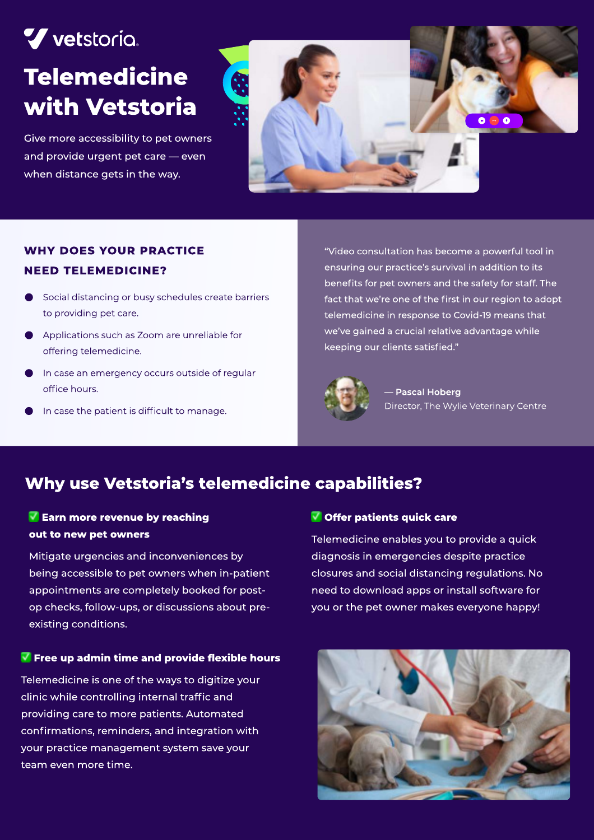# V vetstoria. **Telemedicine** with Vetstoria

Give more accessibility to pet owners and provide urgent pet care — even when distance gets in the way.



## Why does your practice need telemedicine?

- Social distancing or busy schedules create barriers to providing pet care.
- Applications such as Zoom are unreliable for offering telemedicine.
- In case an emergency occurs outside of regular office hours.
- In case the patient is difficult to manage.

"Video consultation has become a powerful tool in ensuring our practice's survival in addition to its benefits for pet owners and the safety for staff. The fact that we're one of the first in our region to adopt telemedicine in response to Covid-19 means that we've gained a crucial relative advantage while keeping our clients satisfied."



Pascal Hoberg Director, The Wylie Veterinary Centre

# Why use Vetstoria's telemedicine capabilities?

## $\blacksquare$  Earn more revenue by reaching out to new pet owners

Mitigate urgencies and inconveniences by being accessible to pet owners when in-patient appointments are completely booked for postop checks, follow-ups, or discussions about preexisting conditions.

#### Free up admin time and provide flexible hours

Telemedicine is one of the ways to digitize your clinic while controlling internal traffic and providing care to more patients. Automated confirmations, reminders, and integration with your practice management system save your team even more time.

#### Offer patients quick care

Telemedicine enables you to provide a quick diagnosis in emergencies despite practice closures and social distancing regulations. No need to download apps or install software for you or the pet owner makes everyone happy!